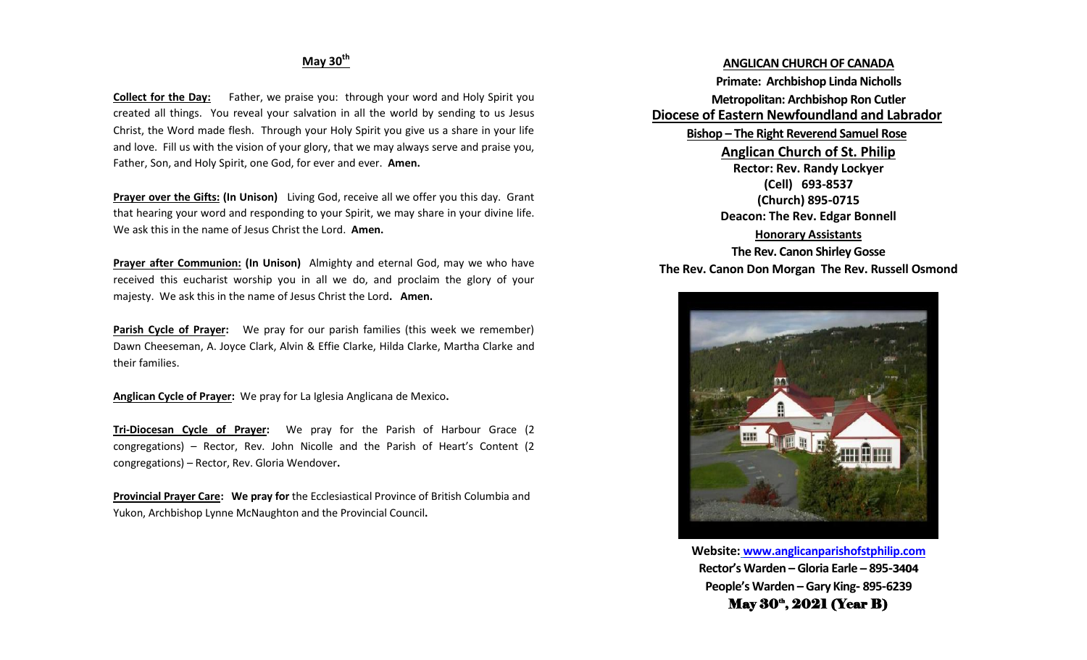### **May 30th**

**Collect for the Day:** Father, we praise you: through your word and Holy Spirit you created all things. You reveal your salvation in all the world by sending to us Jesus Christ, the Word made flesh. Through your Holy Spirit you give us a share in your life and love. Fill us with the vision of your glory, that we may always serve and praise you, Father, Son, and Holy Spirit, one God, for ever and ever. **Amen.** 

**Prayer over the Gifts: (In Unison)** Living God, receive all we offer you this day. Grant that hearing your word and responding to your Spirit, we may share in your divine life. We ask this in the name of Jesus Christ the Lord. **Amen.**

**Prayer after Communion: (In Unison)** Almighty and eternal God, may we who have received this eucharist worship you in all we do, and proclaim the glory of your majesty. We ask this in the name of Jesus Christ the Lord**. Amen.**

**Parish Cycle of Prayer:** We pray for our parish families (this week we remember) Dawn Cheeseman, A. Joyce Clark, Alvin & Effie Clarke, Hilda Clarke, Martha Clarke and their families.

**Anglican Cycle of Prayer:** We pray for La Iglesia Anglicana de Mexico**.**

**Tri-Diocesan Cycle of Prayer:** We pray for the Parish of Harbour Grace (2 congregations) – Rector, Rev. John Nicolle and the Parish of Heart's Content (2 congregations) – Rector, Rev. Gloria Wendover**.**

**Provincial Prayer Care: We pray for** the Ecclesiastical Province of British Columbia and Yukon, Archbishop Lynne McNaughton and the Provincial Council**.**

**ANGLICAN CHURCH OF CANADA Primate: Archbishop Linda Nicholls Metropolitan: Archbishop Ron Cutler Diocese of Eastern Newfoundland and Labrador Bishop – The Right Reverend Samuel Rose Anglican Church of St. Philip Rector: Rev. Randy Lockyer (Cell) 693-8537 (Church) 895-0715 Deacon: The Rev. Edgar Bonnell Honorary Assistants**

**The Rev. Canon Shirley Gosse The Rev. Canon Don Morgan The Rev. Russell Osmond**



**Website: [www.anglicanparishofstphilip.com](http://www.anglicanparishofstphilip.com/) Rector's Warden – Gloria Earle – 895-3404 People's Warden – Gary King- 895-6239** May 30<sup>th</sup>, 2021 (Year B)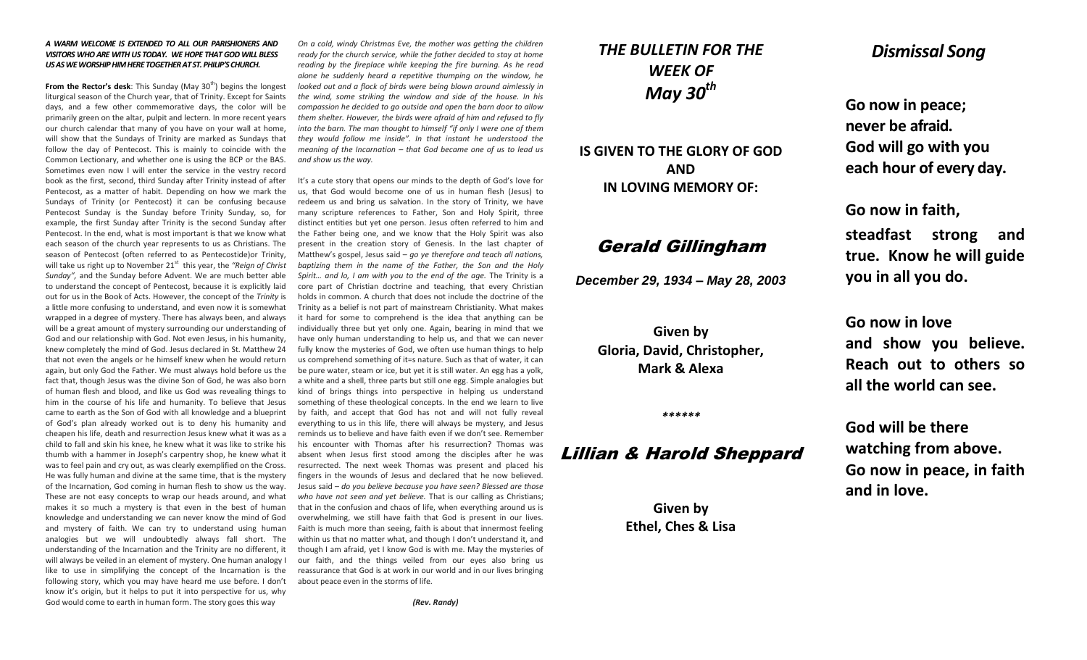#### *A WARM WELCOME IS EXTENDED TO ALL OUR PARISHIONERS AND VISITORS WHO ARE WITH US TODAY. WE HOPE THAT GOD WILL BLESS US AS WE WORSHIP HIM HERE TOGETHER AT ST. PHILIP'S CHURCH.*

**From the Rector's desk:** This Sunday (May 30<sup>th</sup>) begins the longest liturgical season of the Church year, that of Trinity. Except for Saints days, and a few other commemorative days, the color will be primarily green on the altar, pulpit and lectern. In more recent years our church calendar that many of you have on your wall at home, will show that the Sundays of Trinity are marked as Sundays that follow the day of Pentecost. This is mainly to coincide with the Common Lectionary, and whether one is using the BCP or the BAS. Sometimes even now I will enter the service in the vestry record book as the first, second, third Sunday after Trinity instead of after Pentecost, as a matter of habit. Depending on how we mark the Sundays of Trinity (or Pentecost) it can be confusing because Pentecost Sunday is the Sunday before Trinity Sunday, so, for example, the first Sunday after Trinity is the second Sunday after Pentecost. In the end, what is most important is that we know what each season of the church year represents to us as Christians. The season of Pentecost (often referred to as Pentecostide)or Trinity, will take us right up to November 21<sup>st</sup> this year, the "Reign of Christ *Sunday",* and the Sunday before Advent. We are much better able to understand the concept of Pentecost, because it is explicitly laid out for us in the Book of Acts. However, the concept of the *Trinity* is a little more confusing to understand, and even now it is somewhat wrapped in a degree of mystery. There has always been, and always will be a great amount of mystery surrounding our understanding of God and our relationship with God. Not even Jesus, in his humanity, knew completely the mind of God. Jesus declared in St. Matthew 24 that not even the angels or he himself knew when he would return again, but only God the Father. We must always hold before us the fact that, though Jesus was the divine Son of God, he was also born of human flesh and blood, and like us God was revealing things to him in the course of his life and humanity. To believe that Jesus came to earth as the Son of God with all knowledge and a blueprint of God's plan already worked out is to deny his humanity and cheapen his life, death and resurrection Jesus knew what it was as a child to fall and skin his knee, he knew what it was like to strike his thumb with a hammer in Joseph's carpentry shop, he knew what it was to feel pain and cry out, as was clearly exemplified on the Cross. He was fully human and divine at the same time, that is the mystery of the Incarnation, God coming in human flesh to show us the way. These are not easy concepts to wrap our heads around, and what makes it so much a mystery is that even in the best of human knowledge and understanding we can never know the mind of God and mystery of faith. We can try to understand using human analogies but we will undoubtedly always fall short. The understanding of the Incarnation and the Trinity are no different, it will always be veiled in an element of mystery. One human analogy I like to use in simplifying the concept of the Incarnation is the following story, which you may have heard me use before. I don't know it's origin, but it helps to put it into perspective for us, why God would come to earth in human form. The story goes this way

*On a cold, windy Christmas Eve, the mother was getting the children ready for the church service, while the father decided to stay at home reading by the fireplace while keeping the fire burning. As he read alone he suddenly heard a repetitive thumping on the window, he looked out and a flock of birds were being blown around aimlessly in the wind, some striking the window and side of the house. In his compassion he decided to go outside and open the barn door to allow them shelter. However, the birds were afraid of him and refused to fly into the barn. The man thought to himself "if only I were one of them they would follow me inside". In that instant he understood the meaning of the Incarnation – that God became one of us to lead us and show us the way.*

It's a cute story that opens our minds to the depth of God's love for us, that God would become one of us in human flesh (Jesus) to redeem us and bring us salvation. In the story of Trinity, we have many scripture references to Father, Son and Holy Spirit, three distinct entities but yet one person. Jesus often referred to him and the Father being one, and we know that the Holy Spirit was also present in the creation story of Genesis. In the last chapter of Matthew's gospel, Jesus said – *go ye therefore and teach all nations, baptizing them in the name of the Father, the Son and the Holy*  Spirit... and lo, I am with you to the end of the age. The Trinity is a core part of Christian doctrine and teaching, that every Christian holds in common. A church that does not include the doctrine of the Trinity as a belief is not part of mainstream Christianity. What makes it hard for some to comprehend is the idea that anything can be individually three but yet only one. Again, bearing in mind that we have only human understanding to help us, and that we can never fully know the mysteries of God, we often use human things to help us comprehend something of it=s nature. Such as that of water, it can be pure water, steam or ice, but yet it is still water. An egg has a yolk, a white and a shell, three parts but still one egg. Simple analogies but kind of brings things into perspective in helping us understand something of these theological concepts. In the end we learn to live by faith, and accept that God has not and will not fully reveal everything to us in this life, there will always be mystery, and Jesus reminds us to believe and have faith even if we don't see. Remember his encounter with Thomas after his resurrection? Thomas was absent when Jesus first stood among the disciples after he was resurrected. The next week Thomas was present and placed his fingers in the wounds of Jesus and declared that he now believed. Jesus said – *do you believe because you have seen? Blessed are those who have not seen and yet believe.* That is our calling as Christians; that in the confusion and chaos of life, when everything around us is overwhelming, we still have faith that God is present in our lives. Faith is much more than seeing, faith is about that innermost feeling within us that no matter what, and though I don't understand it, and though I am afraid, yet I know God is with me. May the mysteries of our faith, and the things veiled from our eyes also bring us reassurance that God is at work in our world and in our lives bringing about peace even in the storms of life.

*(Rev. Randy)*

# *THE BULLETIN FOR THE WEEK OF May 30th*

**IS GIVEN TO THE GLORY OF GOD AND IN LOVING MEMORY OF:**

# Gerald Gillingham

*December 29, 1934 – May 28, 2003*

**Given by Gloria, David, Christopher, Mark & Alexa**

#### *\*\*\*\*\*\**

## Lillian & Harold Sheppard

**Given by Ethel, Ches & Lisa**

## *Dismissal Song*

**Go now in peace; never be afraid. God will go with you each hour of every day.**

**Go now in faith,** 

**steadfast strong and true. Know he will guide you in all you do.**

**Go now in love and show you believe. Reach out to others so all the world can see.**

**God will be there watching from above. Go now in peace, in faith and in love.**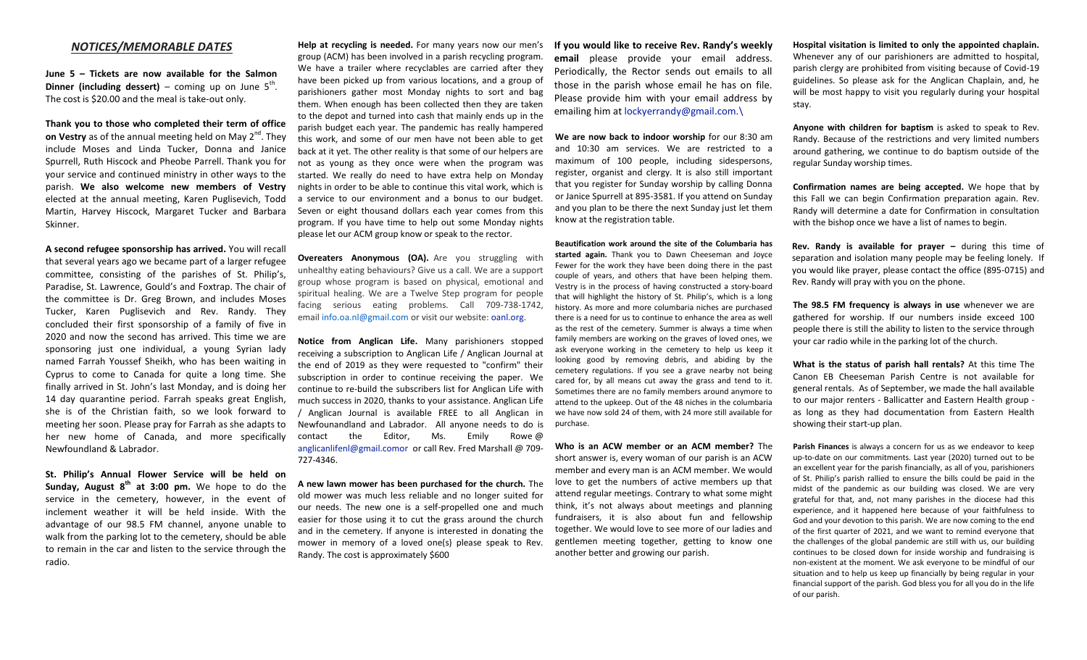#### *NOTICES/MEMORABLE DATES*

**June 5 – Tickets are now available for the Salmon Dinner (including dessert)** – coming up on June  $5^{th}$ . The cost is \$20.00 and the meal is take-out only.

**Thank you to those who completed their term of office on Vestry** as of the annual meeting held on May 2<sup>nd</sup>. They include Moses and Linda Tucker, Donna and Janice Spurrell, Ruth Hiscock and Pheobe Parrell. Thank you for your service and continued ministry in other ways to the parish. **We also welcome new members of Vestry** elected at the annual meeting, Karen Puglisevich, Todd Martin, Harvey Hiscock, Margaret Tucker and Barbara Skinner.

**A second refugee sponsorship has arrived.** You will recall that several years ago we became part of a larger refugee committee, consisting of the parishes of St. Philip's, Paradise, St. Lawrence, Gould's and Foxtrap. The chair of the committee is Dr. Greg Brown, and includes Moses Tucker, Karen Puglisevich and Rev. Randy. They concluded their first sponsorship of a family of five in 2020 and now the second has arrived. This time we are sponsoring just one individual, a young Syrian lady named Farrah Youssef Sheikh, who has been waiting in Cyprus to come to Canada for quite a long time. She finally arrived in St. John's last Monday, and is doing her 14 day quarantine period. Farrah speaks great English, she is of the Christian faith, so we look forward to meeting her soon. Please pray for Farrah as she adapts to her new home of Canada, and more specifically Newfoundland & Labrador.

**St. Philip's Annual Flower Service will be held on Sunday, August 8th at 3:00 pm.** We hope to do the service in the cemetery, however, in the event of inclement weather it will be held inside. With the advantage of our 98.5 FM channel, anyone unable to walk from the parking lot to the cemetery, should be able to remain in the car and listen to the service through the radio.

**Help at recycling is needed.** For many years now our men's group (ACM) has been involved in a parish recycling program. We have a trailer where recyclables are carried after they have been picked up from various locations, and a group of parishioners gather most Monday nights to sort and bag them. When enough has been collected then they are taken to the depot and turned into cash that mainly ends up in the parish budget each year. The pandemic has really hampered this work, and some of our men have not been able to get back at it yet. The other reality is that some of our helpers are not as young as they once were when the program was started. We really do need to have extra help on Monday nights in order to be able to continue this vital work, which is a service to our environment and a bonus to our budget. Seven or eight thousand dollars each year comes from this program. If you have time to help out some Monday nights please let our ACM group know or speak to the rector.

**Overeaters Anonymous (OA).** Are you struggling with unhealthy eating behaviours? Give us a call. We are a support group whose program is based on physical, emotional and spiritual healing. We are a Twelve Step program for people facing serious eating problems. Call 709-738-1742, email [info.oa.nl@gmail.com](mailto:info.oa.nl@gmail.com) or visit our website: [oanl.org.](http://oanl.org/)

**Notice from Anglican Life.** Many parishioners stopped receiving a subscription to Anglican Life / Anglican Journal at the end of 2019 as they were requested to "confirm" their subscription in order to continue receiving the paper. We continue to re-build the subscribers list for Anglican Life with much success in 2020, thanks to your assistance. Anglican Life / Anglican Journal is available FREE to all Anglican in Newfounandland and Labrador. All anyone needs to do is contact the Editor, Ms. Emily Rowe @ [anglicanlifenl@gmail.comor](mailto:anglicanlifenl@gmail.comor) or call Rev. Fred Marshall @ 709- 727-4346.

**A new lawn mower has been purchased for the church.** The old mower was much less reliable and no longer suited for our needs. The new one is a self-propelled one and much easier for those using it to cut the grass around the church and in the cemetery. If anyone is interested in donating the mower in memory of a loved one(s) please speak to Rev. Randy. The cost is approximately \$600

**If you would like to receive Rev. Randy's weekly email** please provide your email address. Periodically, the Rector sends out emails to all those in the parish whose email he has on file. Please provide him with your email address by emailing him at [lockyerrandy@gmail.com.\](mailto:lockyerrandy@gmail.com./)

**We are now back to indoor worship** for our 8:30 am and 10:30 am services. We are restricted to a maximum of 100 people, including sidespersons, register, organist and clergy. It is also still important that you register for Sunday worship by calling Donna or Janice Spurrell at 895-3581. If you attend on Sunday and you plan to be there the next Sunday just let them know at the registration table.

**Beautification work around the site of the Columbaria has started again.** Thank you to Dawn Cheeseman and Joyce Fewer for the work they have been doing there in the past couple of years, and others that have been helping them. Vestry is in the process of having constructed a story-board that will highlight the history of St. Philip's, which is a long history. As more and more columbaria niches are purchased there is a need for us to continue to enhance the area as well as the rest of the cemetery. Summer is always a time when family members are working on the graves of loved ones, we ask everyone working in the cemetery to help us keep it looking good by removing debris, and abiding by the cemetery regulations. If you see a grave nearby not being cared for, by all means cut away the grass and tend to it. Sometimes there are no family members around anymore to attend to the upkeep. Out of the 48 niches in the columbaria we have now sold 24 of them, with 24 more still available for purchase.

**Who is an ACW member or an ACM member?** The short answer is, every woman of our parish is an ACW member and every man is an ACM member. We would love to get the numbers of active members up that attend regular meetings. Contrary to what some might think, it's not always about meetings and planning fundraisers, it is also about fun and fellowship together. We would love to see more of our ladies and gentlemen meeting together, getting to know one another better and growing our parish.

**Hospital visitation is limited to only the appointed chaplain.**  Whenever any of our parishioners are admitted to hospital, parish clergy are prohibited from visiting because of Covid-19 guidelines. So please ask for the Anglican Chaplain, and, he will be most happy to visit you regularly during your hospital stay.

**Anyone with children for baptism** is asked to speak to Rev. Randy. Because of the restrictions and very limited numbers around gathering, we continue to do baptism outside of the regular Sunday worship times.

**Confirmation names are being accepted.** We hope that by this Fall we can begin Confirmation preparation again. Rev. Randy will determine a date for Confirmation in consultation with the bishop once we have a list of names to begin.

**Rev. Randy is available for prayer –** during this time of separation and isolation many people may be feeling lonely. If you would like prayer, please contact the office (895-0715) and Rev. Randy will pray with you on the phone.

**The 98.5 FM frequency is always in use** whenever we are gathered for worship. If our numbers inside exceed 100 people there is still the ability to listen to the service through your car radio while in the parking lot of the church.

**What is the status of parish hall rentals?** At this time The Canon EB Cheeseman Parish Centre is not available for general rentals. As of September, we made the hall available to our major renters - Ballicatter and Eastern Health group as long as they had documentation from Eastern Health showing their start-up plan.

**Parish Finances** is always a concern for us as we endeavor to keep up-to-date on our commitments. Last year (2020) turned out to be an excellent year for the parish financially, as all of you, parishioners of St. Philip's parish rallied to ensure the bills could be paid in the midst of the pandemic as our building was closed. We are very grateful for that, and, not many parishes in the diocese had this experience, and it happened here because of your faithfulness to God and your devotion to this parish. We are now coming to the end of the first quarter of 2021, and we want to remind everyone that the challenges of the global pandemic are still with us, our building continues to be closed down for inside worship and fundraising is non-existent at the moment. We ask everyone to be mindful of our situation and to help us keep up financially by being regular in your financial support of the parish. God bless you for all you do in the life of our parish.